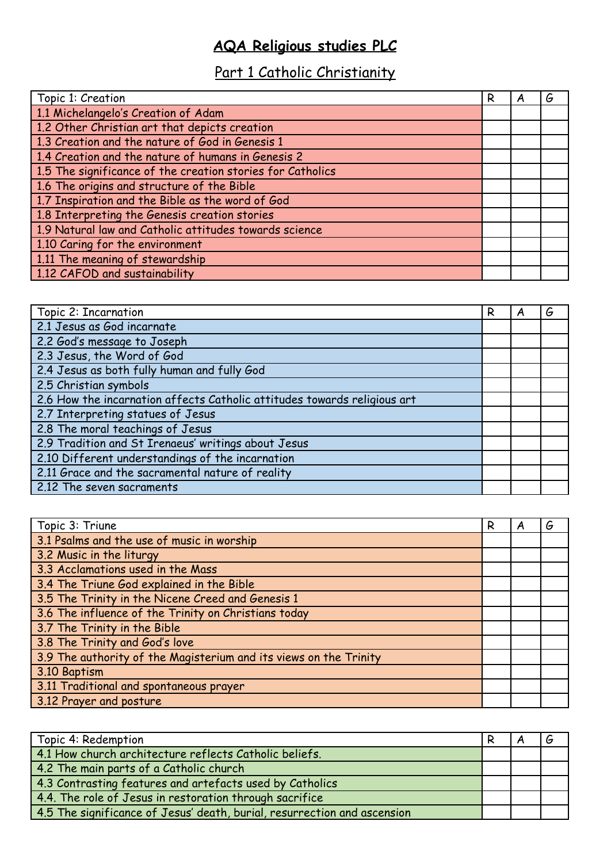## **AQA Religious studies PLC**

## Part 1 Catholic Christianity

| Topic 1: Creation                                          | R | Α | G |
|------------------------------------------------------------|---|---|---|
| 1.1 Michelangelo's Creation of Adam                        |   |   |   |
| 1.2 Other Christian art that depicts creation              |   |   |   |
| 1.3 Creation and the nature of God in Genesis 1            |   |   |   |
| 1.4 Creation and the nature of humans in Genesis 2         |   |   |   |
| 1.5 The significance of the creation stories for Catholics |   |   |   |
| 1.6 The origins and structure of the Bible                 |   |   |   |
| 1.7 Inspiration and the Bible as the word of God           |   |   |   |
| 1.8 Interpreting the Genesis creation stories              |   |   |   |
| 1.9 Natural law and Catholic attitudes towards science     |   |   |   |
| 1.10 Caring for the environment                            |   |   |   |
| 1.11 The meaning of stewardship                            |   |   |   |
| 1.12 CAFOD and sustainability                              |   |   |   |

| Topic 2: Incarnation                                                     | R | A | G |
|--------------------------------------------------------------------------|---|---|---|
| 2.1 Jesus as God incarnate                                               |   |   |   |
| 2.2 God's message to Joseph                                              |   |   |   |
| 2.3 Jesus, the Word of God                                               |   |   |   |
| 2.4 Jesus as both fully human and fully God                              |   |   |   |
| 2.5 Christian symbols                                                    |   |   |   |
| 2.6 How the incarnation affects Catholic attitudes towards religious art |   |   |   |
| 2.7 Interpreting statues of Jesus                                        |   |   |   |
| 2.8 The moral teachings of Jesus                                         |   |   |   |
| 2.9 Tradition and St Irenaeus' writings about Jesus                      |   |   |   |
| 2.10 Different understandings of the incarnation                         |   |   |   |
| 2.11 Grace and the sacramental nature of reality                         |   |   |   |
| 2.12 The seven sacraments                                                |   |   |   |

| Topic 3: Triune                                                   | R | A | G |
|-------------------------------------------------------------------|---|---|---|
| 3.1 Psalms and the use of music in worship                        |   |   |   |
| 3.2 Music in the liturgy                                          |   |   |   |
| 3.3 Acclamations used in the Mass                                 |   |   |   |
| 3.4 The Triune God explained in the Bible                         |   |   |   |
| 3.5 The Trinity in the Nicene Creed and Genesis 1                 |   |   |   |
| 3.6 The influence of the Trinity on Christians today              |   |   |   |
| 3.7 The Trinity in the Bible                                      |   |   |   |
| 3.8 The Trinity and God's love                                    |   |   |   |
| 3.9 The authority of the Magisterium and its views on the Trinity |   |   |   |
| 3.10 Baptism                                                      |   |   |   |
| 3.11 Traditional and spontaneous prayer                           |   |   |   |
| 3.12 Prayer and posture                                           |   |   |   |

| Topic 4: Redemption                                                      |  |  |
|--------------------------------------------------------------------------|--|--|
| 4.1 How church architecture reflects Catholic beliefs.                   |  |  |
| 4.2 The main parts of a Catholic church                                  |  |  |
| 4.3 Contrasting features and artefacts used by Catholics                 |  |  |
| 4.4. The role of Jesus in restoration through sacrifice                  |  |  |
| 4.5 The significance of Jesus' death, burial, resurrection and ascension |  |  |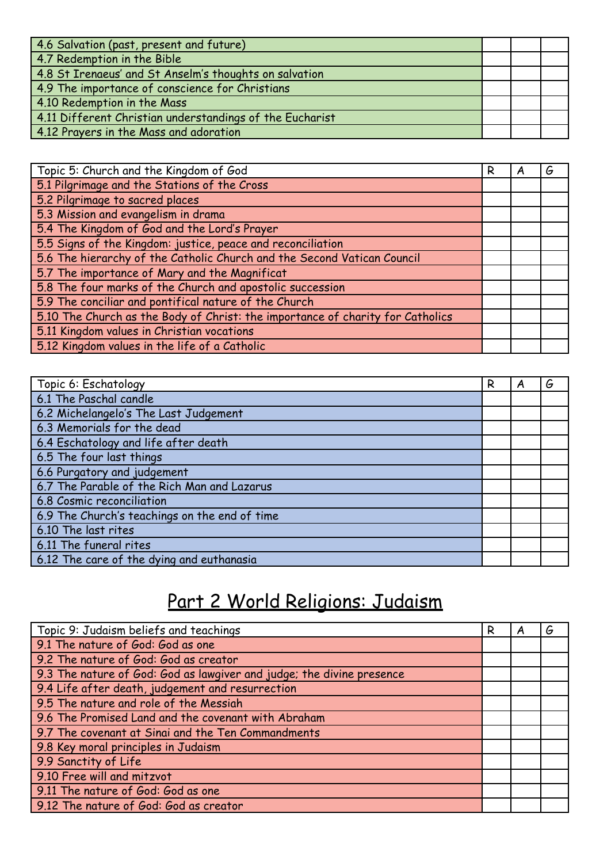| 4.6 Salvation (past, present and future)                 |  |  |
|----------------------------------------------------------|--|--|
| 4.7 Redemption in the Bible                              |  |  |
| 4.8 St Irenaeus' and St Anselm's thoughts on salvation   |  |  |
| 4.9 The importance of conscience for Christians          |  |  |
| 4.10 Redemption in the Mass                              |  |  |
| 4.11 Different Christian understandings of the Eucharist |  |  |
| 4.12 Prayers in the Mass and adoration                   |  |  |

| Topic 5: Church and the Kingdom of God                                         | R | A | G |
|--------------------------------------------------------------------------------|---|---|---|
| 5.1 Pilgrimage and the Stations of the Cross                                   |   |   |   |
| 5.2 Pilgrimage to sacred places                                                |   |   |   |
| 5.3 Mission and evangelism in drama                                            |   |   |   |
| 5.4 The Kingdom of God and the Lord's Prayer                                   |   |   |   |
| 5.5 Signs of the Kingdom: justice, peace and reconciliation                    |   |   |   |
| 5.6 The hierarchy of the Catholic Church and the Second Vatican Council        |   |   |   |
| 5.7 The importance of Mary and the Magnificat                                  |   |   |   |
| 5.8 The four marks of the Church and apostolic succession                      |   |   |   |
| 5.9 The conciliar and pontifical nature of the Church                          |   |   |   |
| 5.10 The Church as the Body of Christ: the importance of charity for Catholics |   |   |   |
| 5.11 Kingdom values in Christian vocations                                     |   |   |   |
| 5.12 Kingdom values in the life of a Catholic                                  |   |   |   |

| Topic 6: Eschatology                          | R | A | G |
|-----------------------------------------------|---|---|---|
| 6.1 The Paschal candle                        |   |   |   |
| 6.2 Michelangelo's The Last Judgement         |   |   |   |
| 6.3 Memorials for the dead                    |   |   |   |
| 6.4 Eschatology and life after death          |   |   |   |
| 6.5 The four last things                      |   |   |   |
| 6.6 Purgatory and judgement                   |   |   |   |
| 6.7 The Parable of the Rich Man and Lazarus   |   |   |   |
| 6.8 Cosmic reconciliation                     |   |   |   |
| 6.9 The Church's teachings on the end of time |   |   |   |
| 6.10 The last rites                           |   |   |   |
| 6.11 The funeral rites                        |   |   |   |
| 6.12 The care of the dying and euthanasia     |   |   |   |

## Part 2 World Religions: Judaism

| Topic 9: Judaism beliefs and teachings                                | R | G |
|-----------------------------------------------------------------------|---|---|
| 9.1 The nature of God: God as one                                     |   |   |
| 9.2 The nature of God: God as creator                                 |   |   |
| 9.3 The nature of God: God as lawgiver and judge; the divine presence |   |   |
| 9.4 Life after death, judgement and resurrection                      |   |   |
| 9.5 The nature and role of the Messiah                                |   |   |
| 9.6 The Promised Land and the covenant with Abraham                   |   |   |
| 9.7 The covenant at Sinai and the Ten Commandments                    |   |   |
| 9.8 Key moral principles in Judaism                                   |   |   |
| 9.9 Sanctity of Life                                                  |   |   |
| 9.10 Free will and mitzvot                                            |   |   |
| 9.11 The nature of God: God as one                                    |   |   |
| 9.12 The nature of God: God as creator                                |   |   |